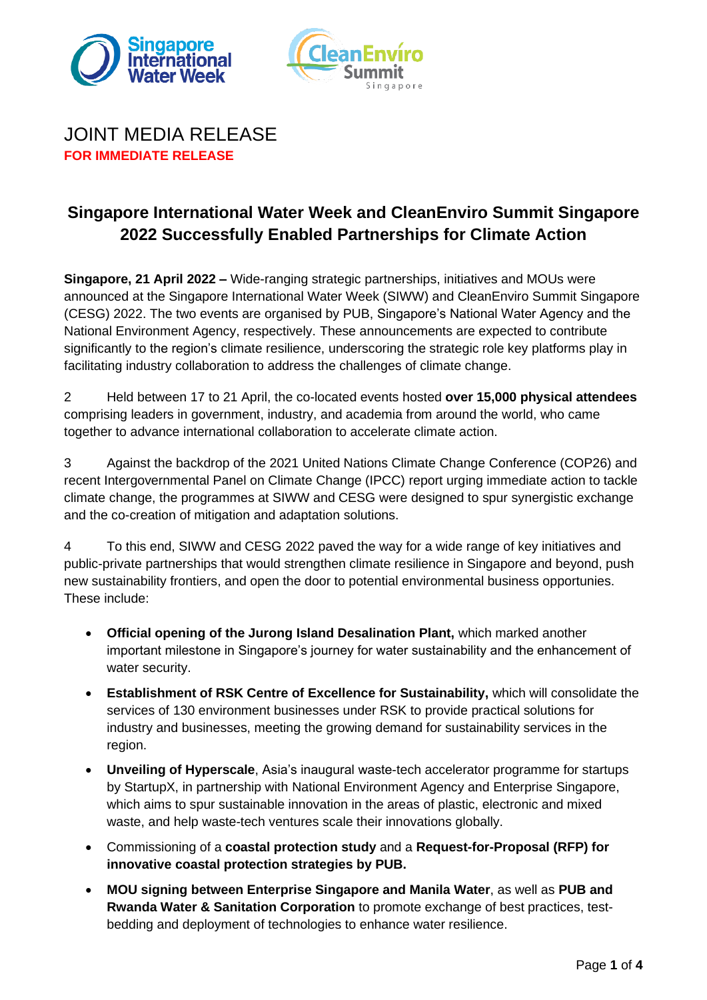



## JOINT MEDIA RELEASE **FOR IMMEDIATE RELEASE**

# **Singapore International Water Week and CleanEnviro Summit Singapore 2022 Successfully Enabled Partnerships for Climate Action**

**Singapore, 21 April 2022 –** Wide-ranging strategic partnerships, initiatives and MOUs were announced at the Singapore International Water Week (SIWW) and CleanEnviro Summit Singapore (CESG) 2022. The two events are organised by PUB, Singapore's National Water Agency and the National Environment Agency, respectively. These announcements are expected to contribute significantly to the region's climate resilience, underscoring the strategic role key platforms play in facilitating industry collaboration to address the challenges of climate change.

2 Held between 17 to 21 April, the co-located events hosted **over 15,000 physical attendees** comprising leaders in government, industry, and academia from around the world, who came together to advance international collaboration to accelerate climate action.

3 Against the backdrop of the 2021 United Nations Climate Change Conference (COP26) and recent Intergovernmental Panel on Climate Change (IPCC) report urging immediate action to tackle climate change, the programmes at SIWW and CESG were designed to spur synergistic exchange and the co-creation of mitigation and adaptation solutions.

4 To this end, SIWW and CESG 2022 paved the way for a wide range of key initiatives and public-private partnerships that would strengthen climate resilience in Singapore and beyond, push new sustainability frontiers, and open the door to potential environmental business opportunies. These include:

- **Official opening of the Jurong Island Desalination Plant,** which marked another important milestone in Singapore's journey for water sustainability and the enhancement of water security.
- **Establishment of RSK Centre of Excellence for Sustainability,** which will consolidate the services of 130 environment businesses under RSK to provide practical solutions for industry and businesses, meeting the growing demand for sustainability services in the region.
- **Unveiling of Hyperscale**, Asia's inaugural waste-tech accelerator programme for startups by StartupX, in partnership with National Environment Agency and Enterprise Singapore, which aims to spur sustainable innovation in the areas of plastic, electronic and mixed waste, and help waste-tech ventures scale their innovations globally.
- Commissioning of a **coastal protection study** and a **Request-for-Proposal (RFP) for innovative coastal protection strategies by PUB.**
- **MOU signing between Enterprise Singapore and Manila Water**, as well as **PUB and Rwanda Water & Sanitation Corporation** to promote exchange of best practices, testbedding and deployment of technologies to enhance water resilience.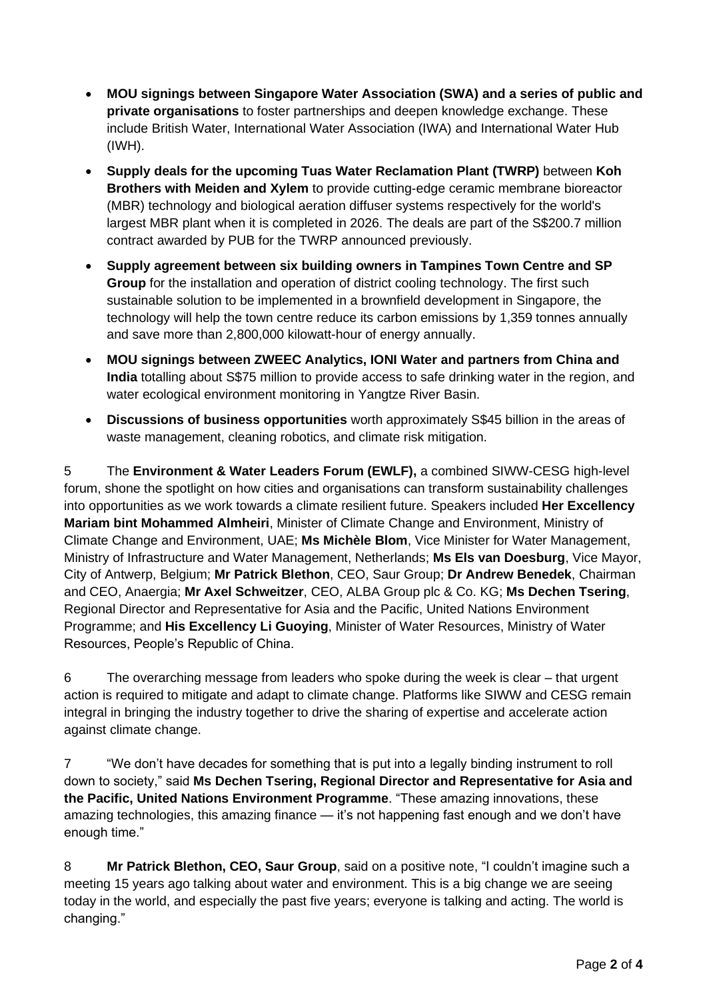- **MOU signings between Singapore Water Association (SWA) and a series of public and private organisations** to foster partnerships and deepen knowledge exchange. These include British Water, International Water Association (IWA) and International Water Hub (IWH).
- **Supply deals for the upcoming Tuas Water Reclamation Plant (TWRP)** between **Koh Brothers with Meiden and Xylem** to provide cutting-edge ceramic membrane bioreactor (MBR) technology and biological aeration diffuser systems respectively for the world's largest MBR plant when it is completed in 2026. The deals are part of the S\$200.7 million contract awarded by PUB for the TWRP announced previously.
- **Supply agreement between six building owners in Tampines Town Centre and SP Group** for the installation and operation of district cooling technology. The first such sustainable solution to be implemented in a brownfield development in Singapore, the technology will help the town centre reduce its carbon emissions by 1,359 tonnes annually and save more than 2,800,000 kilowatt-hour of energy annually.
- **MOU signings between ZWEEC Analytics, IONI Water and partners from China and India** totalling about S\$75 million to provide access to safe drinking water in the region, and water ecological environment monitoring in Yangtze River Basin.
- **Discussions of business opportunities** worth approximately S\$45 billion in the areas of waste management, cleaning robotics, and climate risk mitigation.

5 The **Environment & Water Leaders Forum (EWLF),** a combined SIWW-CESG high-level forum, shone the spotlight on how cities and organisations can transform sustainability challenges into opportunities as we work towards a climate resilient future. Speakers included **Her Excellency Mariam bint Mohammed Almheiri**, Minister of Climate Change and Environment, Ministry of Climate Change and Environment, UAE; **Ms Michèle Blom**, Vice Minister for Water Management, Ministry of Infrastructure and Water Management, Netherlands; **Ms Els van Doesburg**, Vice Mayor, City of Antwerp, Belgium; **Mr Patrick Blethon**, CEO, Saur Group; **Dr Andrew Benedek**, Chairman and CEO, Anaergia; **Mr Axel Schweitzer**, CEO, ALBA Group plc & Co. KG; **Ms Dechen Tsering**, Regional Director and Representative for Asia and the Pacific, United Nations Environment Programme; and **His Excellency Li Guoying**, Minister of Water Resources, Ministry of Water Resources, People's Republic of China.

6 The overarching message from leaders who spoke during the week is clear – that urgent action is required to mitigate and adapt to climate change. Platforms like SIWW and CESG remain integral in bringing the industry together to drive the sharing of expertise and accelerate action against climate change.

7 "We don't have decades for something that is put into a legally binding instrument to roll down to society," said **Ms Dechen Tsering, Regional Director and Representative for Asia and the Pacific, United Nations Environment Programme**. "These amazing innovations, these amazing technologies, this amazing finance — it's not happening fast enough and we don't have enough time."

8 **Mr Patrick Blethon, CEO, Saur Group**, said on a positive note, "I couldn't imagine such a meeting 15 years ago talking about water and environment. This is a big change we are seeing today in the world, and especially the past five years; everyone is talking and acting. The world is changing."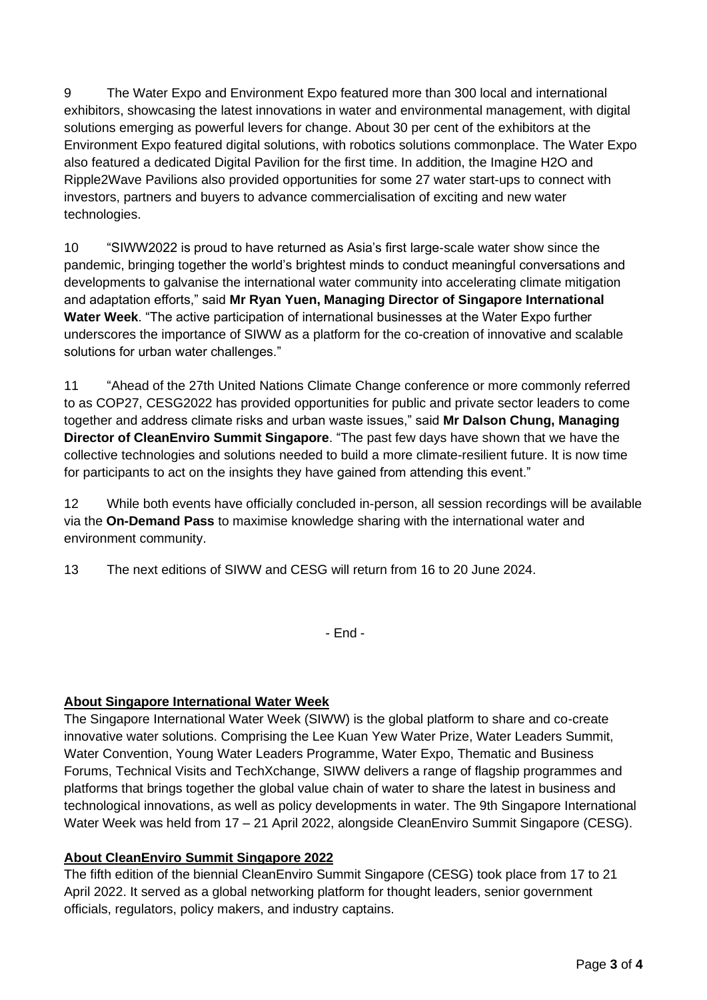9 The Water Expo and Environment Expo featured more than 300 local and international exhibitors, showcasing the latest innovations in water and environmental management, with digital solutions emerging as powerful levers for change. About 30 per cent of the exhibitors at the Environment Expo featured digital solutions, with robotics solutions commonplace. The Water Expo also featured a dedicated Digital Pavilion for the first time. In addition, the Imagine H2O and Ripple2Wave Pavilions also provided opportunities for some 27 water start-ups to connect with investors, partners and buyers to advance commercialisation of exciting and new water technologies.

10 "SIWW2022 is proud to have returned as Asia's first large-scale water show since the pandemic, bringing together the world's brightest minds to conduct meaningful conversations and developments to galvanise the international water community into accelerating climate mitigation and adaptation efforts," said **Mr Ryan Yuen, Managing Director of Singapore International Water Week**. "The active participation of international businesses at the Water Expo further underscores the importance of SIWW as a platform for the co-creation of innovative and scalable solutions for urban water challenges."

11 "Ahead of the 27th United Nations Climate Change conference or more commonly referred to as COP27, CESG2022 has provided opportunities for public and private sector leaders to come together and address climate risks and urban waste issues," said **Mr Dalson Chung, Managing Director of CleanEnviro Summit Singapore**. "The past few days have shown that we have the collective technologies and solutions needed to build a more climate-resilient future. It is now time for participants to act on the insights they have gained from attending this event."

12 While both events have officially concluded in-person, all session recordings will be available via the **On-Demand Pass** to maximise knowledge sharing with the international water and environment community.

13 The next editions of SIWW and CESG will return from 16 to 20 June 2024.

- End -

### **About Singapore International Water Week**

The Singapore International Water Week (SIWW) is the global platform to share and co-create innovative water solutions. Comprising the Lee Kuan Yew Water Prize, Water Leaders Summit, Water Convention, Young Water Leaders Programme, Water Expo, Thematic and Business Forums, Technical Visits and TechXchange, SIWW delivers a range of flagship programmes and platforms that brings together the global value chain of water to share the latest in business and technological innovations, as well as policy developments in water. The 9th Singapore International Water Week was held from 17 – 21 April 2022, alongside CleanEnviro Summit Singapore (CESG).

### **About CleanEnviro Summit Singapore 2022**

The fifth edition of the biennial CleanEnviro Summit Singapore (CESG) took place from 17 to 21 April 2022. It served as a global networking platform for thought leaders, senior government officials, regulators, policy makers, and industry captains.